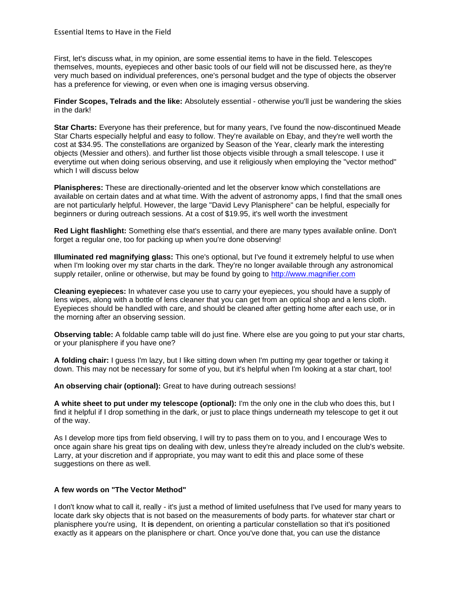First, let's discuss what, in my opinion, are some essential items to have in the field. Telescopes themselves, mounts, eyepieces and other basic tools of our field will not be discussed here, as they're very much based on individual preferences, one's personal budget and the type of objects the observer has a preference for viewing, or even when one is imaging versus observing.

**Finder Scopes, Telrads and the like:** Absolutely essential - otherwise you'll just be wandering the skies in the dark!

**Star Charts:** Everyone has their preference, but for many years, I've found the now-discontinued Meade Star Charts especially helpful and easy to follow. They're available on Ebay, and they're well worth the cost at \$34.95. The constellations are organized by Season of the Year, clearly mark the interesting objects (Messier and others). and further list those objects visible through a small telescope. I use it everytime out when doing serious observing, and use it religiously when employing the "vector method" which I will discuss below

**Planispheres:** These are directionally-oriented and let the observer know which constellations are available on certain dates and at what time. With the advent of astronomy apps, I find that the small ones are not particularly helpful. However, the large "David Levy Planisphere" can be helpful, especially for beginners or during outreach sessions. At a cost of \$19.95, it's well worth the investment

**Red Light flashlight:** Something else that's essential, and there are many types available online. Don't forget a regular one, too for packing up when you're done observing!

**Illuminated red magnifying glass:** This one's optional, but I've found it extremely helpful to use when when I'm looking over my star charts in the dark. They're no longer available through any astronomical supply retailer, online or otherwise, but may be found by going to [http://www.magnifier.com](https://nam12.safelinks.protection.outlook.com/?url=http%3A%2F%2Fwww.magnifier.com&data=02%7C01%7C%7C84e133dcdd9e4ae1270f08d788ada71d%7C84df9e7fe9f640afb435aaaaaaaaaaaa%7C1%7C0%7C637128151913252897&sdata=eST6MuQK2h3mU9QGS7U1QKrxvzwYt2styczakE7toWQ%3D&reserved=0)

**Cleaning eyepieces:** In whatever case you use to carry your eyepieces, you should have a supply of lens wipes, along with a bottle of lens cleaner that you can get from an optical shop and a lens cloth. Eyepieces should be handled with care, and should be cleaned after getting home after each use, or in the morning after an observing session.

**Observing table:** A foldable camp table will do just fine. Where else are you going to put your star charts, or your planisphere if you have one?

**A folding chair:** I guess I'm lazy, but I like sitting down when I'm putting my gear together or taking it down. This may not be necessary for some of you, but it's helpful when I'm looking at a star chart, too!

**An observing chair (optional):** Great to have during outreach sessions!

**A white sheet to put under my telescope (optional):** I'm the only one in the club who does this, but I find it helpful if I drop something in the dark, or just to place things underneath my telescope to get it out of the way.

As I develop more tips from field observing, I will try to pass them on to you, and I encourage Wes to once again share his great tips on dealing with dew, unless they're already included on the club's website. Larry, at your discretion and if appropriate, you may want to edit this and place some of these suggestions on there as well.

## **A few words on "The Vector Method"**

I don't know what to call it, really - it's just a method of limited usefulness that I've used for many years to locate dark sky objects that is not based on the measurements of body parts. for whatever star chart or planisphere you're using, It **is** dependent, on orienting a particular constellation so that it's positioned exactly as it appears on the planisphere or chart. Once you've done that, you can use the distance